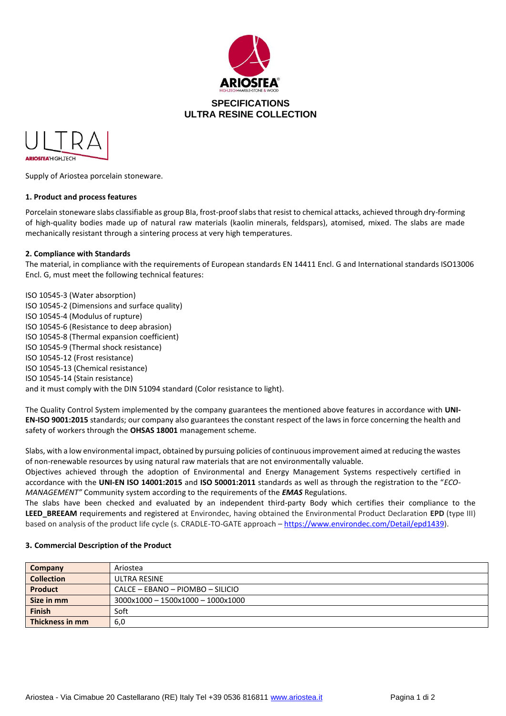



Supply of Ariostea porcelain stoneware.

## **1. Product and process features**

Porcelain stoneware slabs classifiable as group BIa, frost-proof slabs that resist to chemical attacks, achieved through dry-forming of high-quality bodies made up of natural raw materials (kaolin minerals, feldspars), atomised, mixed. The slabs are made mechanically resistant through a sintering process at very high temperatures.

## **2. Compliance with Standards**

The material, in compliance with the requirements of European standards EN 14411 Encl. G and International standards ISO13006 Encl. G, must meet the following technical features:

ISO 10545-3 (Water absorption) ISO 10545-2 (Dimensions and surface quality) ISO 10545-4 (Modulus of rupture) ISO 10545-6 (Resistance to deep abrasion) ISO 10545-8 (Thermal expansion coefficient) ISO 10545-9 (Thermal shock resistance) ISO 10545-12 (Frost resistance) ISO 10545-13 (Chemical resistance) ISO 10545-14 (Stain resistance) and it must comply with the DIN 51094 standard (Color resistance to light).

The Quality Control System implemented by the company guarantees the mentioned above features in accordance with **UNI-EN-ISO 9001:2015** standards; our company also guarantees the constant respect of the laws in force concerning the health and safety of workers through the **OHSAS 18001** management scheme.

Slabs, with a low environmental impact, obtained by pursuing policies of continuous improvement aimed at reducing the wastes of non-renewable resources by using natural raw materials that are not environmentally valuable.

Objectives achieved through the adoption of Environmental and Energy Management Systems respectively certified in accordance with the **UNI-EN ISO 14001:2015** and **ISO 50001:2011** standards as well as through the registration to the "*ECO-MANAGEMENT"* Community system according to the requirements of the *EMAS* Regulations.

The slabs have been checked and evaluated by an independent third-party Body which certifies their compliance to the **LEED\_BREEAM** requirements and registered at Environdec, having obtained the Environmental Product Declaration **EPD** (type III) based on analysis of the product life cycle (s. CRADLE-TO-GATE approach – [https://www.environdec.com/Detail/epd1439\)](https://urlsand.esvalabs.com/?u=https%3A%2F%2Fwww.environdec.com%2FDetail%2Fepd1439&e=fdbf7c53&h=e5b4a17b&f=y&p=y).

#### **3. Commercial Description of the Product**

| Company           | Ariostea                          |  |  |
|-------------------|-----------------------------------|--|--|
| <b>Collection</b> | ULTRA RESINE                      |  |  |
| <b>Product</b>    | CALCE - EBANO - PIOMBO - SILICIO  |  |  |
| Size in mm        | 3000x1000 - 1500x1000 - 1000x1000 |  |  |
| <b>Finish</b>     | Soft                              |  |  |
| Thickness in mm   | 6,0                               |  |  |